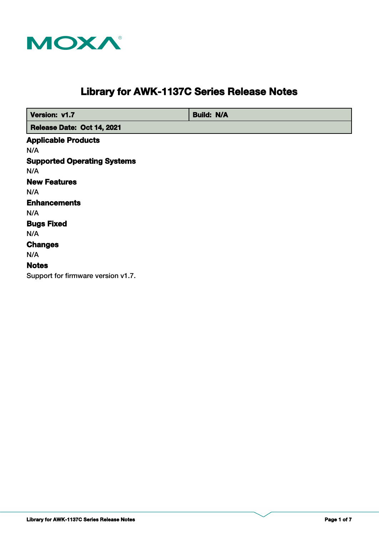

# **Library for AWK-1137C Series Release Notes**

 **Version: v1.7 Build: N/A** 

 **Release Date: Oct 14, 2021**

**Supported Operating Systems Notes Changes Applicable Products Bugs Fixed** N/A N/A **Enhancements** N/A N/A N/A **New Features** N/A Support for firmware version v1.7.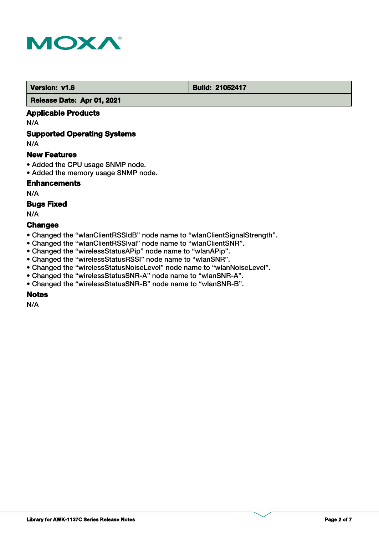

#### **Version: v1.6 Build: 21052417**

 **Release Date: Apr 01, 2021**

## **Applicable Products**

N/A

# **Supported Operating Systems**

N/A

## **New Features**

- Added the CPU usage SNMP node.
- Added the memory usage SNMP node.

# **Enhancements**

N/A

## **Bugs Fixed**

N/A

## **Changes**

- Changed the "wlanClientRSSIdB" node name to "wlanClientSignalStrength".
- Changed the "wlanClientRSSIval" node name to "wlanClientSNR".
- Changed the "wirelessStatusAPip" node name to "wlanAPip".
- Changed the "wirelessStatusRSSI" node name to "wlanSNR".
- Changed the "wirelessStatusNoiseLevel" node name to "wlanNoiseLevel".
- Changed the "wirelessStatusSNR-A" node name to "wlanSNR-A".
- Changed the "wirelessStatusSNR-B" node name to "wlanSNR-B".

# **Notes**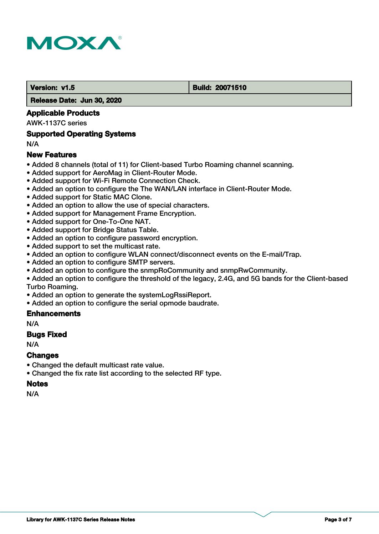

#### **Version: v1.5 Build: 20071510**

 **Release Date: Jun 30, 2020**

## **Applicable Products**

AWK-1137C series

#### **Supported Operating Systems**

N/A

## **New Features**

- Added 8 channels (total of 11) for Client-based Turbo Roaming channel scanning.
- Added support for AeroMag in Client-Router Mode.
- Added support for Wi-Fi Remote Connection Check.
- Added an option to configure the The WAN/LAN interface in Client-Router Mode.
- Added support for Static MAC Clone.
- Added an option to allow the use of special characters.
- Added support for Management Frame Encryption.
- Added support for One-To-One NAT.
- Added support for Bridge Status Table.
- Added an option to configure password encryption.
- Added support to set the multicast rate.
- Added an option to configure WLAN connect/disconnect events on the E-mail/Trap.
- Added an option to configure SMTP servers.
- Added an option to configure the snmpRoCommunity and snmpRwCommunity.
- Added an option to configure the threshold of the legacy, 2.4G, and 5G bands for the Client-based Turbo Roaming.
- Added an option to generate the systemLogRssiReport.
- Added an option to configure the serial opmode baudrate.

#### **Enhancements**

N/A

#### **Bugs Fixed**

N/A

#### **Changes**

- Changed the default multicast rate value.
- Changed the fix rate list according to the selected RF type.

# **Notes**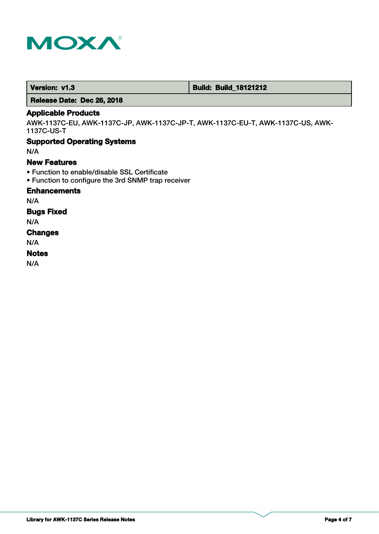

 **Version: v1.3 Build: Build: Build: 18121212** 

 **Release Date: Dec 26, 2018**

## **Applicable Products**

AWK-1137C-EU, AWK-1137C-JP, AWK-1137C-JP-T, AWK-1137C-EU-T, AWK-1137C-US, AWK-1137C-US-T

## **Supported Operating Systems**

N/A

## **New Features**

- Function to enable/disable SSL Certificate
- Function to configure the 3rd SNMP trap receiver

## **Enhancements**

N/A

## **Bugs Fixed**

N/A

# **Changes**

N/A

# **Notes**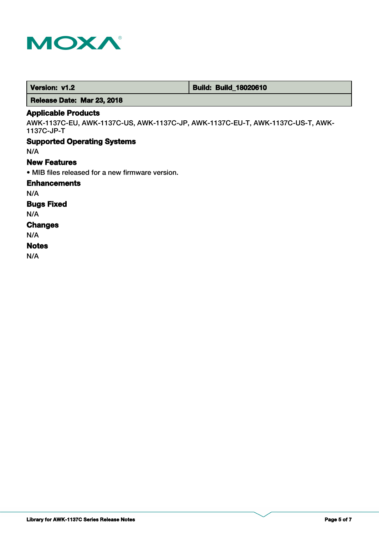

 **Version: v1.2 Build: Build: Build: 18020610** 

 **Release Date: Mar 23, 2018**

# **Applicable Products**

AWK-1137C-EU, AWK-1137C-US, AWK-1137C-JP, AWK-1137C-EU-T, AWK-1137C-US-T, AWK-1137C-JP-T

# **Supported Operating Systems**

N/A

## **New Features**

• MIB files released for a new firmware version.

## **Enhancements**

N/A

# **Bugs Fixed**

N/A

#### **Changes**

N/A

## **Notes**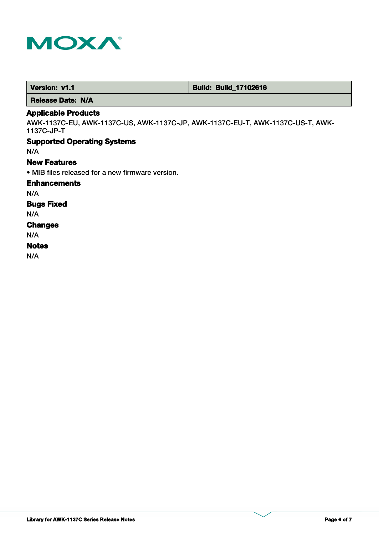

**Supported Operating Systems Changes Applicable Products Bugs Fixed** N/A N/A **Enhancements** N/A AWK-1137C-EU, AWK-1137C-US, AWK-1137C-JP, AWK-1137C-EU-T, AWK-1137C-US-T, AWK-1137C-JP-T • MIB files released for a new firmware version. **New Features** N/A  **Release Date: N/A**

 **Version: v1.1 1.1 Build: Build: Build: 17102616** 

#### **Notes**